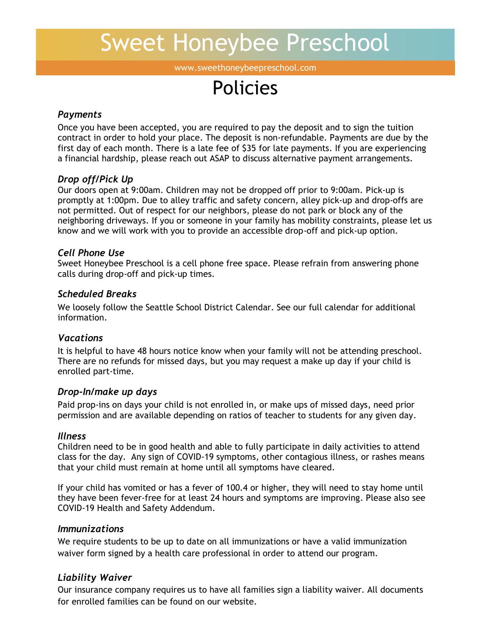# Sweet Honeybee Preschool

www.sweethoneybeepreschool.com

# Policies

#### *Payments*

Once you have been accepted, you are required to pay the deposit and to sign the tuition contract in order to hold your place. The deposit is non-refundable. Payments are due by the first day of each month. There is a late fee of \$35 for late payments. If you are experiencing a financial hardship, please reach out ASAP to discuss alternative payment arrangements.

#### *Drop off/Pick Up*

Our doors open at 9:00am. Children may not be dropped off prior to 9:00am. Pick-up is promptly at 1:00pm. Due to alley traffic and safety concern, alley pick-up and drop-offs are not permitted. Out of respect for our neighbors, please do not park or block any of the neighboring driveways. If you or someone in your family has mobility constraints, please let us know and we will work with you to provide an accessible drop-off and pick-up option.

#### *Cell Phone Use*

Sweet Honeybee Preschool is a cell phone free space. Please refrain from answering phone calls during drop-off and pick-up times.

### *Scheduled Breaks*

We loosely follow the Seattle School District Calendar. See our full calendar for additional information.

# *Vacations*

It is helpful to have 48 hours notice know when your family will not be attending preschool. There are no refunds for missed days, but you may request a make up day if your child is enrolled part-time.

#### *Drop-In/make up days*

Paid prop-ins on days your child is not enrolled in, or make ups of missed days, need prior permission and are available depending on ratios of teacher to students for any given day.

#### *Illness*

Children need to be in good health and able to fully participate in daily activities to attend class for the day. Any sign of COVID-19 symptoms, other contagious illness, or rashes means that your child must remain at home until all symptoms have cleared.

If your child has vomited or has a fever of 100.4 or higher, they will need to stay home until they have been fever-free for at least 24 hours and symptoms are improving. Please also see COVID-19 Health and Safety Addendum.

#### *Immunizations*

We require students to be up to date on all immunizations or have a valid immunization waiver form signed by a health care professional in order to attend our program.

# *Liability Waiver*

Our insurance company requires us to have all families sign a liability waiver. All documents for enrolled families can be found on our website.